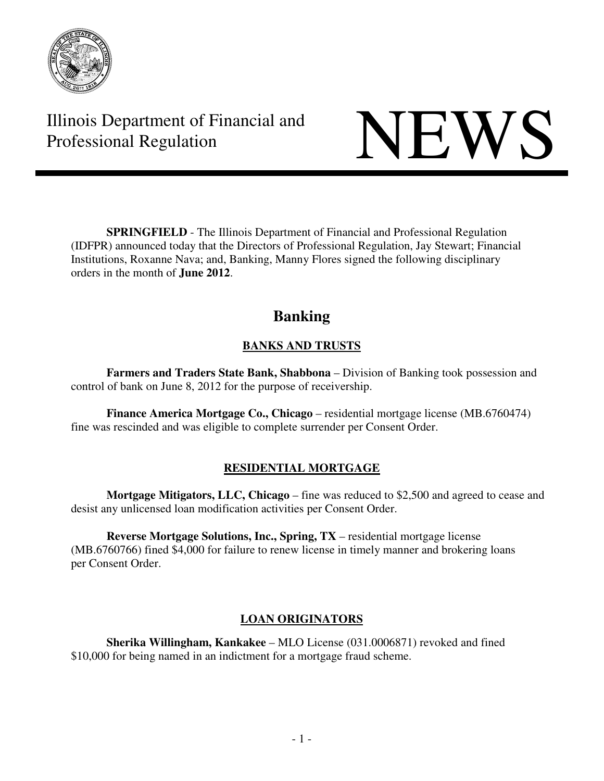

Illinois Department of Financial and THINDIS Department of Financial and<br>Professional Regulation NEWS

**SPRINGFIELD** - The Illinois Department of Financial and Professional Regulation (IDFPR) announced today that the Directors of Professional Regulation, Jay Stewart; Financial Institutions, Roxanne Nava; and, Banking, Manny Flores signed the following disciplinary orders in the month of **June 2012**.

# **Banking**

# **BANKS AND TRUSTS**

 **Farmers and Traders State Bank, Shabbona** – Division of Banking took possession and control of bank on June 8, 2012 for the purpose of receivership.

**Finance America Mortgage Co., Chicago** – residential mortgage license (MB.6760474) fine was rescinded and was eligible to complete surrender per Consent Order.

## **RESIDENTIAL MORTGAGE**

**Mortgage Mitigators, LLC, Chicago** – fine was reduced to \$2,500 and agreed to cease and desist any unlicensed loan modification activities per Consent Order.

**Reverse Mortgage Solutions, Inc., Spring, TX** – residential mortgage license (MB.6760766) fined \$4,000 for failure to renew license in timely manner and brokering loans per Consent Order.

# **LOAN ORIGINATORS**

 **Sherika Willingham, Kankakee** – MLO License (031.0006871) revoked and fined \$10,000 for being named in an indictment for a mortgage fraud scheme.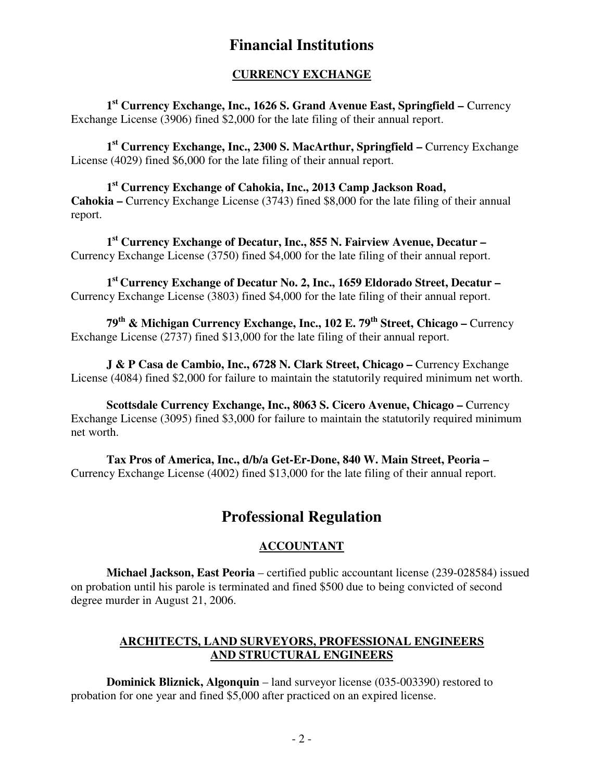# **Financial Institutions**

### **CURRENCY EXCHANGE**

 **1st Currency Exchange, Inc., 1626 S. Grand Avenue East, Springfield –** Currency Exchange License (3906) fined \$2,000 for the late filing of their annual report.

 **1st Currency Exchange, Inc., 2300 S. MacArthur, Springfield –** Currency Exchange License (4029) fined \$6,000 for the late filing of their annual report.

 **1st Currency Exchange of Cahokia, Inc., 2013 Camp Jackson Road, Cahokia –** Currency Exchange License (3743) fined \$8,000 for the late filing of their annual report.

 **1st Currency Exchange of Decatur, Inc., 855 N. Fairview Avenue, Decatur –**  Currency Exchange License (3750) fined \$4,000 for the late filing of their annual report.

 **1st Currency Exchange of Decatur No. 2, Inc., 1659 Eldorado Street, Decatur –**  Currency Exchange License (3803) fined \$4,000 for the late filing of their annual report.

 **79th & Michigan Currency Exchange, Inc., 102 E. 79th Street, Chicago –** Currency Exchange License (2737) fined \$13,000 for the late filing of their annual report.

**J & P Casa de Cambio, Inc., 6728 N. Clark Street, Chicago – Currency Exchange** License (4084) fined \$2,000 for failure to maintain the statutorily required minimum net worth.

 **Scottsdale Currency Exchange, Inc., 8063 S. Cicero Avenue, Chicago –** Currency Exchange License (3095) fined \$3,000 for failure to maintain the statutorily required minimum net worth.

 **Tax Pros of America, Inc., d/b/a Get-Er-Done, 840 W. Main Street, Peoria –**  Currency Exchange License (4002) fined \$13,000 for the late filing of their annual report.

# **Professional Regulation**

## **ACCOUNTANT**

 **Michael Jackson, East Peoria** – certified public accountant license (239-028584) issued on probation until his parole is terminated and fined \$500 due to being convicted of second degree murder in August 21, 2006.

## **ARCHITECTS, LAND SURVEYORS, PROFESSIONAL ENGINEERS AND STRUCTURAL ENGINEERS**

 **Dominick Bliznick, Algonquin** – land surveyor license (035-003390) restored to probation for one year and fined \$5,000 after practiced on an expired license.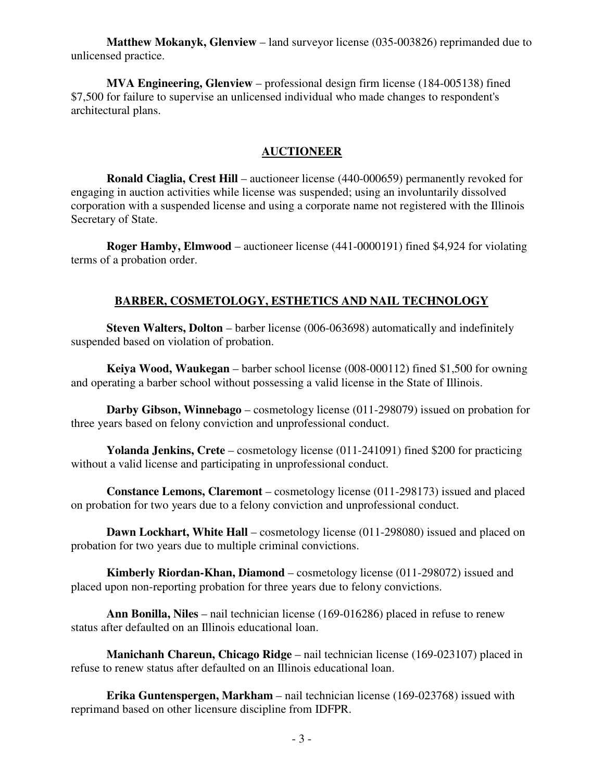**Matthew Mokanyk, Glenview** – land surveyor license (035-003826) reprimanded due to unlicensed practice.

 **MVA Engineering, Glenview** – professional design firm license (184-005138) fined \$7,500 for failure to supervise an unlicensed individual who made changes to respondent's architectural plans.

#### **AUCTIONEER**

 **Ronald Ciaglia, Crest Hill** – auctioneer license (440-000659) permanently revoked for engaging in auction activities while license was suspended; using an involuntarily dissolved corporation with a suspended license and using a corporate name not registered with the Illinois Secretary of State.

 **Roger Hamby, Elmwood** – auctioneer license (441-0000191) fined \$4,924 for violating terms of a probation order.

#### **BARBER, COSMETOLOGY, ESTHETICS AND NAIL TECHNOLOGY**

 **Steven Walters, Dolton** – barber license (006-063698) automatically and indefinitely suspended based on violation of probation.

 **Keiya Wood, Waukegan** – barber school license (008-000112) fined \$1,500 for owning and operating a barber school without possessing a valid license in the State of Illinois.

 **Darby Gibson, Winnebago** – cosmetology license (011-298079) issued on probation for three years based on felony conviction and unprofessional conduct.

 **Yolanda Jenkins, Crete** – cosmetology license (011-241091) fined \$200 for practicing without a valid license and participating in unprofessional conduct.

 **Constance Lemons, Claremont** – cosmetology license (011-298173) issued and placed on probation for two years due to a felony conviction and unprofessional conduct.

**Dawn Lockhart, White Hall** – cosmetology license (011-298080) issued and placed on probation for two years due to multiple criminal convictions.

 **Kimberly Riordan-Khan, Diamond** – cosmetology license (011-298072) issued and placed upon non-reporting probation for three years due to felony convictions.

 **Ann Bonilla, Niles** – nail technician license (169-016286) placed in refuse to renew status after defaulted on an Illinois educational loan.

 **Manichanh Chareun, Chicago Ridge** – nail technician license (169-023107) placed in refuse to renew status after defaulted on an Illinois educational loan.

 **Erika Guntenspergen, Markham** – nail technician license (169-023768) issued with reprimand based on other licensure discipline from IDFPR.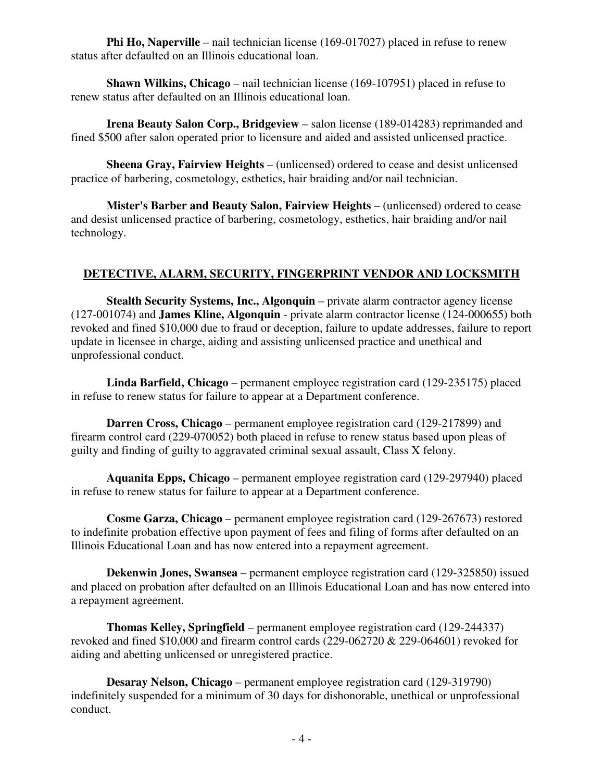**Phi Ho, Naperville** – nail technician license (169-017027) placed in refuse to renew status after defaulted on an Illinois educational loan.

 **Shawn Wilkins, Chicago** – nail technician license (169-107951) placed in refuse to renew status after defaulted on an Illinois educational loan.

**Irena Beauty Salon Corp., Bridgeview** – salon license (189-014283) reprimanded and fined \$500 after salon operated prior to licensure and aided and assisted unlicensed practice.

 **Sheena Gray, Fairview Heights** – (unlicensed) ordered to cease and desist unlicensed practice of barbering, cosmetology, esthetics, hair braiding and/or nail technician.

 **Mister's Barber and Beauty Salon, Fairview Heights** – (unlicensed) ordered to cease and desist unlicensed practice of barbering, cosmetology, esthetics, hair braiding and/or nail technology.

#### **DETECTIVE, ALARM, SECURITY, FINGERPRINT VENDOR AND LOCKSMITH**

 **Stealth Security Systems, Inc., Algonquin** – private alarm contractor agency license (127-001074) and **James Kline, Algonquin** - private alarm contractor license (124-000655) both revoked and fined \$10,000 due to fraud or deception, failure to update addresses, failure to report update in licensee in charge, aiding and assisting unlicensed practice and unethical and unprofessional conduct.

 **Linda Barfield, Chicago** – permanent employee registration card (129-235175) placed in refuse to renew status for failure to appear at a Department conference.

 **Darren Cross, Chicago** – permanent employee registration card (129-217899) and firearm control card (229-070052) both placed in refuse to renew status based upon pleas of guilty and finding of guilty to aggravated criminal sexual assault, Class X felony.

 **Aquanita Epps, Chicago** – permanent employee registration card (129-297940) placed in refuse to renew status for failure to appear at a Department conference.

 **Cosme Garza, Chicago** – permanent employee registration card (129-267673) restored to indefinite probation effective upon payment of fees and filing of forms after defaulted on an Illinois Educational Loan and has now entered into a repayment agreement.

 **Dekenwin Jones, Swansea** – permanent employee registration card (129-325850) issued and placed on probation after defaulted on an Illinois Educational Loan and has now entered into a repayment agreement.

 **Thomas Kelley, Springfield** – permanent employee registration card (129-244337) revoked and fined \$10,000 and firearm control cards (229-062720 & 229-064601) revoked for aiding and abetting unlicensed or unregistered practice.

 **Desaray Nelson, Chicago** – permanent employee registration card (129-319790) indefinitely suspended for a minimum of 30 days for dishonorable, unethical or unprofessional conduct.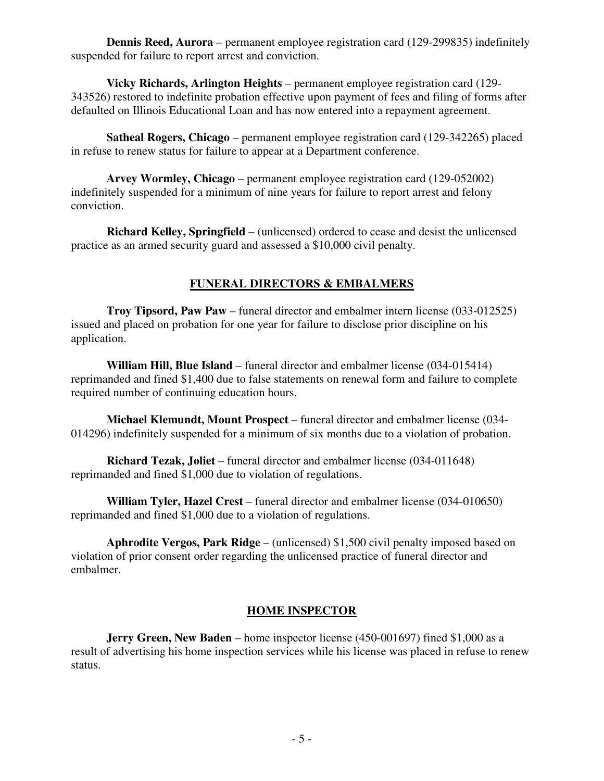**Dennis Reed, Aurora** – permanent employee registration card (129-299835) indefinitely suspended for failure to report arrest and conviction.

 **Vicky Richards, Arlington Heights** – permanent employee registration card (129- 343526) restored to indefinite probation effective upon payment of fees and filing of forms after defaulted on Illinois Educational Loan and has now entered into a repayment agreement.

 **Satheal Rogers, Chicago** – permanent employee registration card (129-342265) placed in refuse to renew status for failure to appear at a Department conference.

 **Arvey Wormley, Chicago** – permanent employee registration card (129-052002) indefinitely suspended for a minimum of nine years for failure to report arrest and felony conviction.

 **Richard Kelley, Springfield** – (unlicensed) ordered to cease and desist the unlicensed practice as an armed security guard and assessed a \$10,000 civil penalty.

#### **FUNERAL DIRECTORS & EMBALMERS**

 **Troy Tipsord, Paw Paw** – funeral director and embalmer intern license (033-012525) issued and placed on probation for one year for failure to disclose prior discipline on his application.

 **William Hill, Blue Island** – funeral director and embalmer license (034-015414) reprimanded and fined \$1,400 due to false statements on renewal form and failure to complete required number of continuing education hours.

 **Michael Klemundt, Mount Prospect** – funeral director and embalmer license (034- 014296) indefinitely suspended for a minimum of six months due to a violation of probation.

 **Richard Tezak, Joliet** – funeral director and embalmer license (034-011648) reprimanded and fined \$1,000 due to violation of regulations.

 **William Tyler, Hazel Crest** – funeral director and embalmer license (034-010650) reprimanded and fined \$1,000 due to a violation of regulations.

 **Aphrodite Vergos, Park Ridge** – (unlicensed) \$1,500 civil penalty imposed based on violation of prior consent order regarding the unlicensed practice of funeral director and embalmer.

#### **HOME INSPECTOR**

**Jerry Green, New Baden** – home inspector license (450-001697) fined \$1,000 as a result of advertising his home inspection services while his license was placed in refuse to renew status.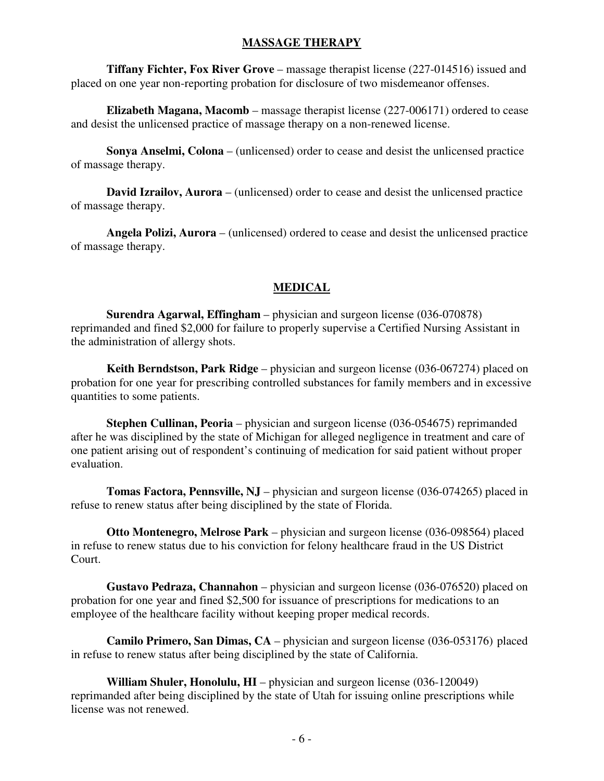#### **MASSAGE THERAPY**

 **Tiffany Fichter, Fox River Grove** – massage therapist license (227-014516) issued and placed on one year non-reporting probation for disclosure of two misdemeanor offenses.

 **Elizabeth Magana, Macomb** – massage therapist license (227-006171) ordered to cease and desist the unlicensed practice of massage therapy on a non-renewed license.

 **Sonya Anselmi, Colona** – (unlicensed) order to cease and desist the unlicensed practice of massage therapy.

 **David Izrailov, Aurora** – (unlicensed) order to cease and desist the unlicensed practice of massage therapy.

 **Angela Polizi, Aurora** – (unlicensed) ordered to cease and desist the unlicensed practice of massage therapy.

#### **MEDICAL**

 **Surendra Agarwal, Effingham** – physician and surgeon license (036-070878) reprimanded and fined \$2,000 for failure to properly supervise a Certified Nursing Assistant in the administration of allergy shots.

 **Keith Berndstson, Park Ridge** – physician and surgeon license (036-067274) placed on probation for one year for prescribing controlled substances for family members and in excessive quantities to some patients.

 **Stephen Cullinan, Peoria** – physician and surgeon license (036-054675) reprimanded after he was disciplined by the state of Michigan for alleged negligence in treatment and care of one patient arising out of respondent's continuing of medication for said patient without proper evaluation.

 **Tomas Factora, Pennsville, NJ** – physician and surgeon license (036-074265) placed in refuse to renew status after being disciplined by the state of Florida.

 **Otto Montenegro, Melrose Park** – physician and surgeon license (036-098564) placed in refuse to renew status due to his conviction for felony healthcare fraud in the US District Court.

 **Gustavo Pedraza, Channahon** – physician and surgeon license (036-076520) placed on probation for one year and fined \$2,500 for issuance of prescriptions for medications to an employee of the healthcare facility without keeping proper medical records.

 **Camilo Primero, San Dimas, CA** – physician and surgeon license (036-053176) placed in refuse to renew status after being disciplined by the state of California.

 **William Shuler, Honolulu, HI** – physician and surgeon license (036-120049) reprimanded after being disciplined by the state of Utah for issuing online prescriptions while license was not renewed.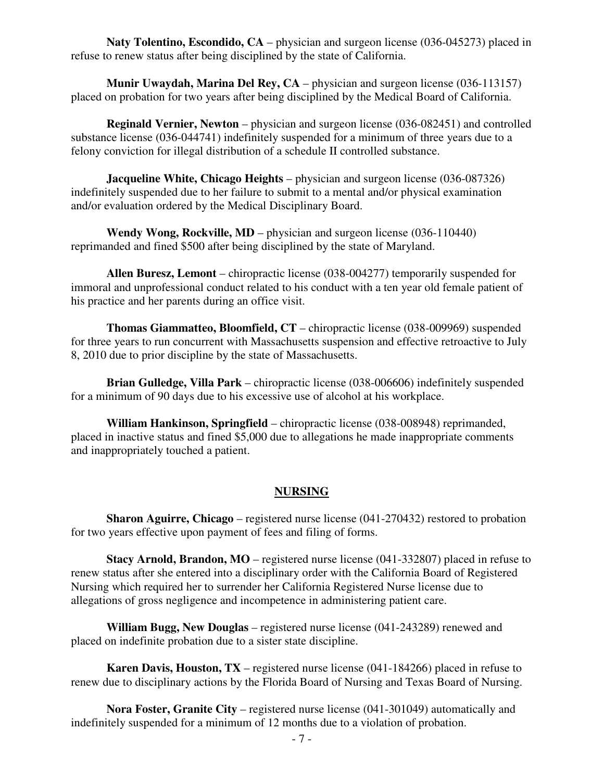**Naty Tolentino, Escondido, CA** – physician and surgeon license (036-045273) placed in refuse to renew status after being disciplined by the state of California.

**Munir Uwaydah, Marina Del Rey, CA** – physician and surgeon license (036-113157) placed on probation for two years after being disciplined by the Medical Board of California.

 **Reginald Vernier, Newton** – physician and surgeon license (036-082451) and controlled substance license (036-044741) indefinitely suspended for a minimum of three years due to a felony conviction for illegal distribution of a schedule II controlled substance.

**Jacqueline White, Chicago Heights** – physician and surgeon license (036-087326) indefinitely suspended due to her failure to submit to a mental and/or physical examination and/or evaluation ordered by the Medical Disciplinary Board.

**Wendy Wong, Rockville, MD** – physician and surgeon license (036-110440) reprimanded and fined \$500 after being disciplined by the state of Maryland.

 **Allen Buresz, Lemont** – chiropractic license (038-004277) temporarily suspended for immoral and unprofessional conduct related to his conduct with a ten year old female patient of his practice and her parents during an office visit.

 **Thomas Giammatteo, Bloomfield, CT** – chiropractic license (038-009969) suspended for three years to run concurrent with Massachusetts suspension and effective retroactive to July 8, 2010 due to prior discipline by the state of Massachusetts.

 **Brian Gulledge, Villa Park** – chiropractic license (038-006606) indefinitely suspended for a minimum of 90 days due to his excessive use of alcohol at his workplace.

 **William Hankinson, Springfield** – chiropractic license (038-008948) reprimanded, placed in inactive status and fined \$5,000 due to allegations he made inappropriate comments and inappropriately touched a patient.

#### **NURSING**

 **Sharon Aguirre, Chicago** – registered nurse license (041-270432) restored to probation for two years effective upon payment of fees and filing of forms.

 **Stacy Arnold, Brandon, MO** – registered nurse license (041-332807) placed in refuse to renew status after she entered into a disciplinary order with the California Board of Registered Nursing which required her to surrender her California Registered Nurse license due to allegations of gross negligence and incompetence in administering patient care.

 **William Bugg, New Douglas** – registered nurse license (041-243289) renewed and placed on indefinite probation due to a sister state discipline.

 **Karen Davis, Houston, TX** – registered nurse license (041-184266) placed in refuse to renew due to disciplinary actions by the Florida Board of Nursing and Texas Board of Nursing.

 **Nora Foster, Granite City** – registered nurse license (041-301049) automatically and indefinitely suspended for a minimum of 12 months due to a violation of probation.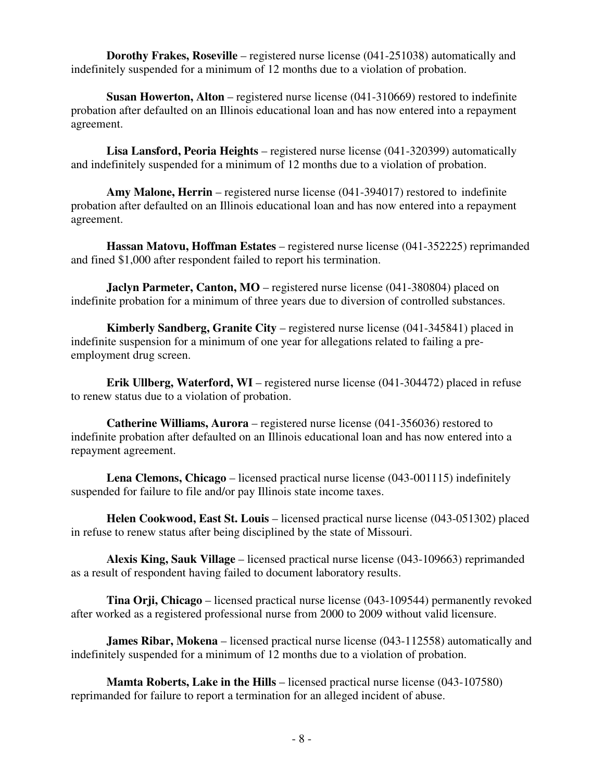**Dorothy Frakes, Roseville** – registered nurse license (041-251038) automatically and indefinitely suspended for a minimum of 12 months due to a violation of probation.

 **Susan Howerton, Alton** – registered nurse license (041-310669) restored to indefinite probation after defaulted on an Illinois educational loan and has now entered into a repayment agreement.

 **Lisa Lansford, Peoria Heights** – registered nurse license (041-320399) automatically and indefinitely suspended for a minimum of 12 months due to a violation of probation.

 **Amy Malone, Herrin** – registered nurse license (041-394017) restored to indefinite probation after defaulted on an Illinois educational loan and has now entered into a repayment agreement.

 **Hassan Matovu, Hoffman Estates** – registered nurse license (041-352225) reprimanded and fined \$1,000 after respondent failed to report his termination.

**Jaclyn Parmeter, Canton, MO** – registered nurse license (041-380804) placed on indefinite probation for a minimum of three years due to diversion of controlled substances.

 **Kimberly Sandberg, Granite City** – registered nurse license (041-345841) placed in indefinite suspension for a minimum of one year for allegations related to failing a preemployment drug screen.

 **Erik Ullberg, Waterford, WI** – registered nurse license (041-304472) placed in refuse to renew status due to a violation of probation.

 **Catherine Williams, Aurora** – registered nurse license (041-356036) restored to indefinite probation after defaulted on an Illinois educational loan and has now entered into a repayment agreement.

 **Lena Clemons, Chicago** – licensed practical nurse license (043-001115) indefinitely suspended for failure to file and/or pay Illinois state income taxes.

 **Helen Cookwood, East St. Louis** – licensed practical nurse license (043-051302) placed in refuse to renew status after being disciplined by the state of Missouri.

 **Alexis King, Sauk Village** – licensed practical nurse license (043-109663) reprimanded as a result of respondent having failed to document laboratory results.

 **Tina Orji, Chicago** – licensed practical nurse license (043-109544) permanently revoked after worked as a registered professional nurse from 2000 to 2009 without valid licensure.

**James Ribar, Mokena** – licensed practical nurse license (043-112558) automatically and indefinitely suspended for a minimum of 12 months due to a violation of probation.

**Mamta Roberts, Lake in the Hills** – licensed practical nurse license (043-107580) reprimanded for failure to report a termination for an alleged incident of abuse.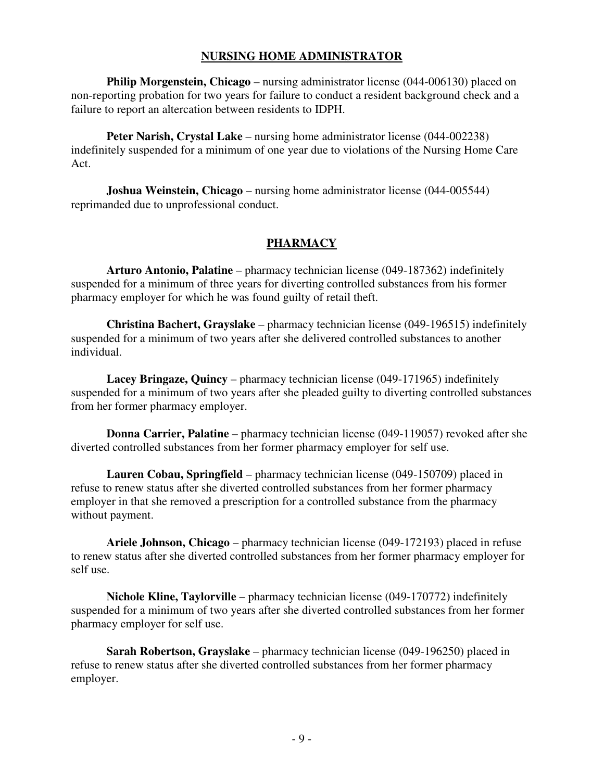#### **NURSING HOME ADMINISTRATOR**

**Philip Morgenstein, Chicago** – nursing administrator license (044-006130) placed on non-reporting probation for two years for failure to conduct a resident background check and a failure to report an altercation between residents to IDPH.

**Peter Narish, Crystal Lake** – nursing home administrator license (044-002238) indefinitely suspended for a minimum of one year due to violations of the Nursing Home Care Act.

 **Joshua Weinstein, Chicago** – nursing home administrator license (044-005544) reprimanded due to unprofessional conduct.

#### **PHARMACY**

 **Arturo Antonio, Palatine** – pharmacy technician license (049-187362) indefinitely suspended for a minimum of three years for diverting controlled substances from his former pharmacy employer for which he was found guilty of retail theft.

 **Christina Bachert, Grayslake** – pharmacy technician license (049-196515) indefinitely suspended for a minimum of two years after she delivered controlled substances to another individual.

 **Lacey Bringaze, Quincy** – pharmacy technician license (049-171965) indefinitely suspended for a minimum of two years after she pleaded guilty to diverting controlled substances from her former pharmacy employer.

 **Donna Carrier, Palatine** – pharmacy technician license (049-119057) revoked after she diverted controlled substances from her former pharmacy employer for self use.

 **Lauren Cobau, Springfield** – pharmacy technician license (049-150709) placed in refuse to renew status after she diverted controlled substances from her former pharmacy employer in that she removed a prescription for a controlled substance from the pharmacy without payment.

 **Ariele Johnson, Chicago** – pharmacy technician license (049-172193) placed in refuse to renew status after she diverted controlled substances from her former pharmacy employer for self use.

 **Nichole Kline, Taylorville** – pharmacy technician license (049-170772) indefinitely suspended for a minimum of two years after she diverted controlled substances from her former pharmacy employer for self use.

 **Sarah Robertson, Grayslake** – pharmacy technician license (049-196250) placed in refuse to renew status after she diverted controlled substances from her former pharmacy employer.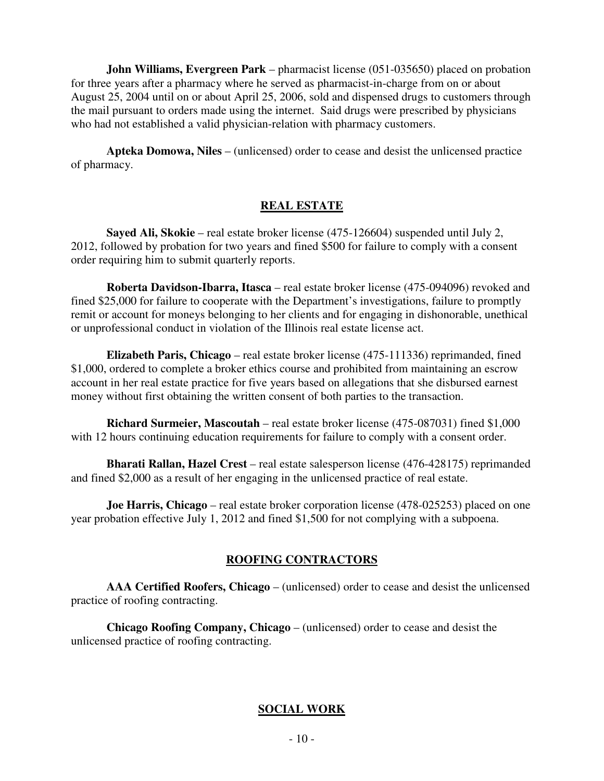**John Williams, Evergreen Park** – pharmacist license (051-035650) placed on probation for three years after a pharmacy where he served as pharmacist-in-charge from on or about August 25, 2004 until on or about April 25, 2006, sold and dispensed drugs to customers through the mail pursuant to orders made using the internet. Said drugs were prescribed by physicians who had not established a valid physician-relation with pharmacy customers.

 **Apteka Domowa, Niles** – (unlicensed) order to cease and desist the unlicensed practice of pharmacy.

#### **REAL ESTATE**

 **Sayed Ali, Skokie** – real estate broker license (475-126604) suspended until July 2, 2012, followed by probation for two years and fined \$500 for failure to comply with a consent order requiring him to submit quarterly reports.

 **Roberta Davidson-Ibarra, Itasca** – real estate broker license (475-094096) revoked and fined \$25,000 for failure to cooperate with the Department's investigations, failure to promptly remit or account for moneys belonging to her clients and for engaging in dishonorable, unethical or unprofessional conduct in violation of the Illinois real estate license act.

 **Elizabeth Paris, Chicago** – real estate broker license (475-111336) reprimanded, fined \$1,000, ordered to complete a broker ethics course and prohibited from maintaining an escrow account in her real estate practice for five years based on allegations that she disbursed earnest money without first obtaining the written consent of both parties to the transaction.

 **Richard Surmeier, Mascoutah** – real estate broker license (475-087031) fined \$1,000 with 12 hours continuing education requirements for failure to comply with a consent order.

 **Bharati Rallan, Hazel Crest** – real estate salesperson license (476-428175) reprimanded and fined \$2,000 as a result of her engaging in the unlicensed practice of real estate.

**Joe Harris, Chicago** – real estate broker corporation license (478-025253) placed on one year probation effective July 1, 2012 and fined \$1,500 for not complying with a subpoena.

#### **ROOFING CONTRACTORS**

 **AAA Certified Roofers, Chicago** – (unlicensed) order to cease and desist the unlicensed practice of roofing contracting.

 **Chicago Roofing Company, Chicago** – (unlicensed) order to cease and desist the unlicensed practice of roofing contracting.

#### **SOCIAL WORK**